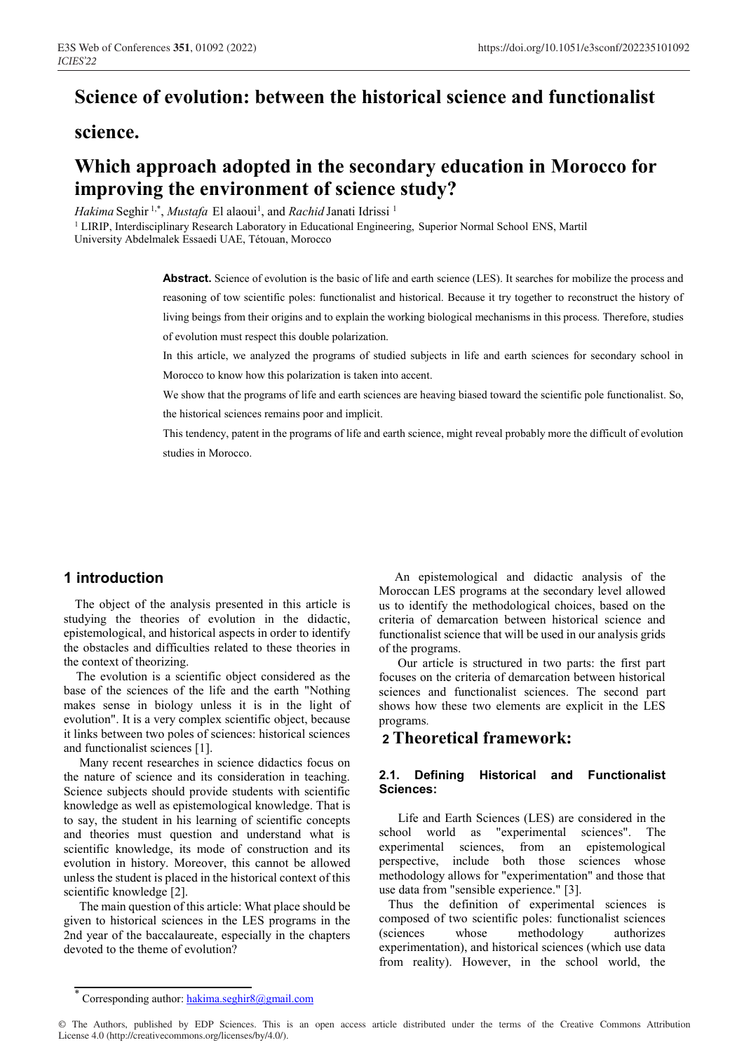# **Science of evolution: between the historical science and functionalist**

### **science.**

# **Which approach adopted in the secondary education in Morocco for improving the environment of science study?**

Hakima Seghir<sup>1,\*</sup>, *Mustafa* El alaoui<sup>1</sup>, and *Rachid* Janati Idrissi<sup>1</sup>

<sup>1</sup> LIRIP, Interdisciplinary Research Laboratory in Educational Engineering, Superior Normal School ENS, Martil University Abdelmalek Essaedi UAE, Tétouan, Morocco

> **Abstract.** Science of evolution is the basic of life and earth science (LES). It searches for mobilize the process and reasoning of tow scientific poles: functionalist and historical. Because it try together to reconstruct the history of living beings from their origins and to explain the working biological mechanisms in this process. Therefore, studies of evolution must respect this double polarization.

> In this article, we analyzed the programs of studied subjects in life and earth sciences for secondary school in Morocco to know how this polarization is taken into accent.

> We show that the programs of life and earth sciences are heaving biased toward the scientific pole functionalist. So, the historical sciences remains poor and implicit.

> This tendency, patent in the programs of life and earth science, might reveal probably more the difficult of evolution studies in Morocco.

### **1 introduction**

 The object of the analysis presented in this article is studying the theories of evolution in the didactic, epistemological, and historical aspects in order to identify the obstacles and difficulties related to these theories in the context of theorizing.

 The evolution is a scientific object considered as the base of the sciences of the life and the earth "Nothing makes sense in biology unless it is in the light of evolution". It is a very complex scientific object, because it links between two poles of sciences: historical sciences and functionalist sciences [1].

 Many recent researches in science didactics focus on the nature of science and its consideration in teaching. Science subjects should provide students with scientific knowledge as well as epistemological knowledge. That is to say, the student in his learning of scientific concepts and theories must question and understand what is scientific knowledge, its mode of construction and its evolution in history. Moreover, this cannot be allowed unless the student is placed in the historical context of this scientific knowledge [2].

 The main question of this article: What place should be given to historical sciences in the LES programs in the 2nd year of the baccalaureate, especially in the chapters devoted to the theme of evolution?

 An epistemological and didactic analysis of the Moroccan LES programs at the secondary level allowed us to identify the methodological choices, based on the criteria of demarcation between historical science and functionalist science that will be used in our analysis grids of the programs.

 Our article is structured in two parts: the first part focuses on the criteria of demarcation between historical sciences and functionalist sciences. The second part shows how these two elements are explicit in the LES programs.

## **2 Theoretical framework:**

#### **2.1. Defining Historical and Functionalist Sciences:**

 Life and Earth Sciences (LES) are considered in the school world as "experimental sciences". The experimental sciences, from an epistemological perspective, include both those sciences whose methodology allows for "experimentation" and those that use data from "sensible experience." [3].

 Thus the definition of experimental sciences is composed of two scientific poles: functionalist sciences (sciences whose methodology authorizes experimentation), and historical sciences (which use data from reality). However, in the school world, the

© The Authors, published by EDP Sciences. This is an open access article distributed under the terms of the Creative Commons Attribution License 4.0 (http://creativecommons.org/licenses/by/4.0/).

Corresponding author:  $hakima. \text{seghir8}(Qgmail.com)$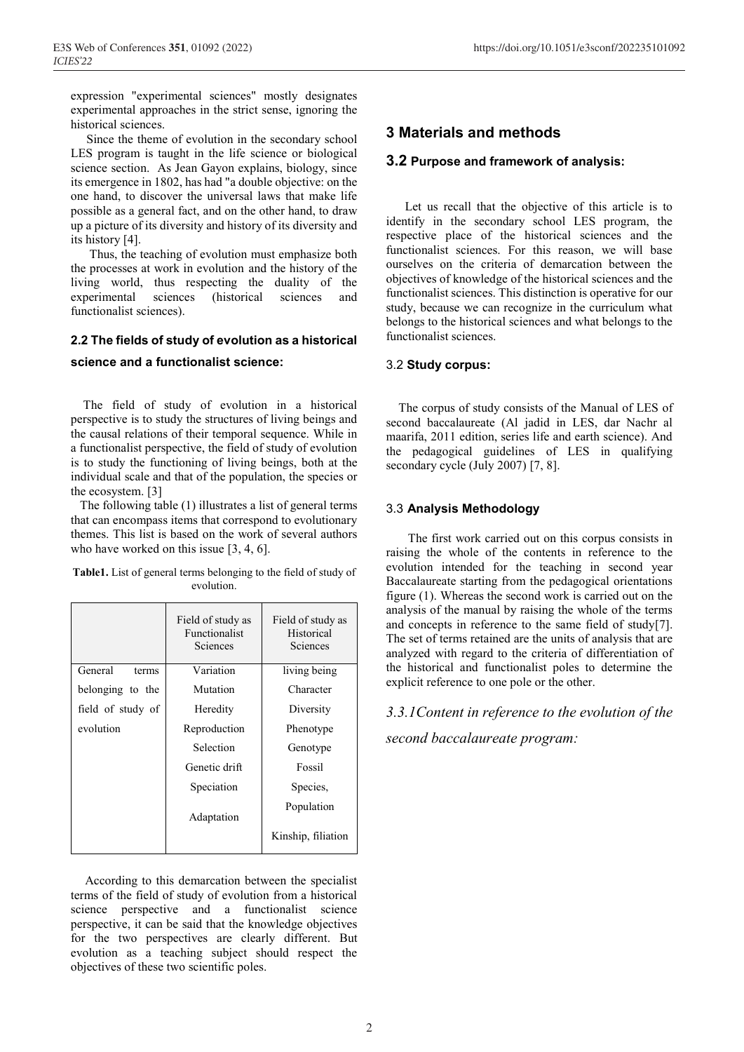expression "experimental sciences" mostly designates experimental approaches in the strict sense, ignoring the historical sciences.

 Since the theme of evolution in the secondary school LES program is taught in the life science or biological science section. As Jean Gayon explains, biology, since its emergence in 1802, has had "a double objective: on the one hand, to discover the universal laws that make life possible as a general fact, and on the other hand, to draw up a picture of its diversity and history of its diversity and its history [4].

 Thus, the teaching of evolution must emphasize both the processes at work in evolution and the history of the living world, thus respecting the duality of the experimental sciences (historical sciences and functionalist sciences).

# **2.2 The fields of study of evolution as a historical**

#### **science and a functionalist science:**

 The field of study of evolution in a historical perspective is to study the structures of living beings and the causal relations of their temporal sequence. While in a functionalist perspective, the field of study of evolution is to study the functioning of living beings, both at the individual scale and that of the population, the species or the ecosystem. [3]

 The following table (1) illustrates a list of general terms that can encompass items that correspond to evolutionary themes. This list is based on the work of several authors who have worked on this issue [3, 4, 6].

| <b>Table1.</b> List of general terms belonging to the field of study of |            |  |  |
|-------------------------------------------------------------------------|------------|--|--|
|                                                                         | evolution. |  |  |

|                   | Field of study as<br><b>Functionalist</b><br>Sciences | Field of study as<br>Historical<br>Sciences |
|-------------------|-------------------------------------------------------|---------------------------------------------|
| General<br>terms  | Variation                                             | living being                                |
| belonging to the  | Mutation                                              | Character                                   |
| field of study of | Heredity                                              | Diversity                                   |
| evolution         | Reproduction                                          | Phenotype                                   |
|                   | Selection                                             | Genotype                                    |
|                   | Genetic drift                                         | Fossil                                      |
|                   | Speciation                                            | Species,                                    |
|                   | Adaptation                                            | Population                                  |
|                   |                                                       | Kinship, filiation                          |

 According to this demarcation between the specialist terms of the field of study of evolution from a historical science perspective and a functionalist science perspective, it can be said that the knowledge objectives for the two perspectives are clearly different. But evolution as a teaching subject should respect the objectives of these two scientific poles.

#### **3 Materials and methods**

#### **3.2 Purpose and framework of analysis:**

 Let us recall that the objective of this article is to identify in the secondary school LES program, the respective place of the historical sciences and the functionalist sciences. For this reason, we will base ourselves on the criteria of demarcation between the objectives of knowledge of the historical sciences and the functionalist sciences. This distinction is operative for our study, because we can recognize in the curriculum what belongs to the historical sciences and what belongs to the functionalist sciences.

#### 3.2 **Study corpus:**

 The corpus of study consists of the Manual of LES of second baccalaureate (Al jadid in LES, dar Nachr al maarifa, 2011 edition, series life and earth science). And the pedagogical guidelines of LES in qualifying secondary cycle (July 2007) [7, 8].

#### 3.3 **Analysis Methodology**

 The first work carried out on this corpus consists in raising the whole of the contents in reference to the evolution intended for the teaching in second year Baccalaureate starting from the pedagogical orientations figure (1). Whereas the second work is carried out on the analysis of the manual by raising the whole of the terms and concepts in reference to the same field of study[7]. The set of terms retained are the units of analysis that are analyzed with regard to the criteria of differentiation of the historical and functionalist poles to determine the explicit reference to one pole or the other.

*3.3.1Content in reference to the evolution of the* 

*second baccalaureate program:*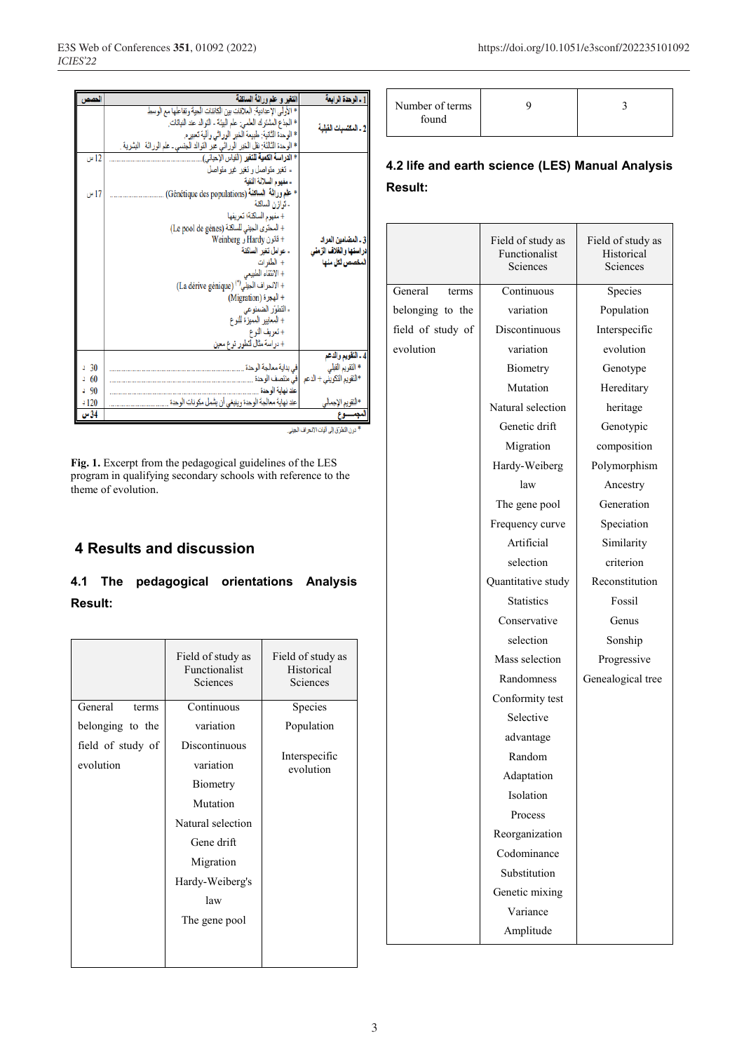| الحصص        | القفير و علم وراثة السائنة                                                       | 1 ـ الوحدة الرابعة        |
|--------------|----------------------------------------------------------------------------------|---------------------------|
|              | * الأولى الإعدادية: العلاقات بين الكائنات الحية وتفاعلها مع الوسط                |                           |
|              | * الجذع المشترك العلمي: علم البيئة ـ التوالد عند النباتات.                       | 2 ـ المكتسبات القلمة      |
|              | * الوحدة الثانية: طبيعة الخبر الوراثي وألية تعبيره.                              |                           |
|              | * الوحدة الثالثة: نقل الخبر الوراثي عبر النوالد الجنسي ـ علم الوراثة   البشرية . |                           |
| 12 س         | * الدراسة الك <b>مية للتغير</b> (القياس الإحيائي).                               |                           |
|              | - تغیر متواصل و تغیر غیر متواصل                                                  |                           |
|              | - مفهوم السلالة النقية                                                           |                           |
| 17 س         | * علم وراثة السائلة (Génétique des populations)                                  |                           |
|              | - توازن الساكنة                                                                  |                           |
|              | + مفهوم الساكنة؛ تعريفها                                                         |                           |
|              | + المحتوى الجيني للساكنة (Le pool de gènes)                                      |                           |
|              | + قانون Hardy و Weinberg                                                         | 3 ـ المضامين المراد       |
|              | - عوامل تغير الساكنة                                                             | دراستها والغلاف الزمنى    |
|              | + الطغرات                                                                        | المخصص لكل منها           |
|              | + الانتقاء الطبيعى                                                               |                           |
|              | + الانحراف الجيني") (La dérive génique)                                          |                           |
|              | + الهجرة (Migration)                                                             |                           |
|              | - التطوّر الضمنوعي                                                               |                           |
|              | + المعابير   المميز ة للنو ع                                                     |                           |
|              | +ئعريف النوع                                                                     |                           |
|              | + در اسة مثال لتطور نوع معين                                                     |                           |
|              |                                                                                  | 4 ـ التقويم والدعم        |
| 30<br>ä.     | في بداية معالجة الوحدة                                                           | * التقويع القبلي          |
| 560          | ا في منتصف الوحدة                                                                | *التقويم التكويني + الدعم |
| $-90$        | عند نهاية الوحدة .                                                               |                           |
| 120ء<br>34 س | عند نهاية معالجة الوحدة وينبغي أن يشمل مكونات الوحدة .                           | *التقويم الإجمالي         |
|              |                                                                                  |                           |

\* دون التطرق إلى أليات الانحراف الجيني.

**Fig. 1.** Excerpt from the pedagogical guidelines of the LES program in qualifying secondary schools with reference to the theme of evolution.

### **4 Results and discussion**

# **4.1 The pedagogical orientations Analysis Result:**

|                   | Field of study as<br>Functionalist<br>Sciences | Field of study as<br>Historical<br>Sciences |
|-------------------|------------------------------------------------|---------------------------------------------|
| General<br>terms  | Continuous                                     | Species                                     |
| belonging to the  | variation                                      | Population                                  |
| field of study of | Discontinuous                                  |                                             |
| evolution         | variation                                      | Interspecific<br>evolution                  |
|                   | Biometry                                       |                                             |
|                   | Mutation                                       |                                             |
|                   | Natural selection                              |                                             |
|                   | Gene drift                                     |                                             |
|                   | Migration                                      |                                             |
|                   | Hardy-Weiberg's                                |                                             |
|                   | law                                            |                                             |
|                   | The gene pool                                  |                                             |
|                   |                                                |                                             |
|                   |                                                |                                             |

| Number of terms<br>found |  |  |
|--------------------------|--|--|
|--------------------------|--|--|

## **4.2 life and earth science (LES) Manual Analysis Result:**

|                   | Field of study as<br>Functionalist<br>Sciences | Field of study as<br>Historical<br>Sciences |
|-------------------|------------------------------------------------|---------------------------------------------|
| General<br>terms  | Continuous                                     | Species                                     |
| belonging to the  | variation                                      | Population                                  |
| field of study of | Discontinuous                                  | Interspecific                               |
| evolution         | variation                                      | evolution                                   |
|                   | Biometry                                       | Genotype                                    |
|                   | Mutation                                       | Hereditary                                  |
|                   | Natural selection                              | heritage                                    |
|                   | Genetic drift                                  |                                             |
|                   |                                                | Genotypic                                   |
|                   | Migration                                      | composition                                 |
|                   | Hardy-Weiberg                                  | Polymorphism                                |
|                   | law                                            | Ancestry                                    |
|                   | The gene pool                                  | Generation                                  |
|                   | Frequency curve                                | Speciation                                  |
|                   | Artificial                                     | Similarity                                  |
|                   | selection                                      | criterion                                   |
|                   | Quantitative study                             | Reconstitution                              |
|                   | <b>Statistics</b>                              | Fossil                                      |
|                   | Conservative                                   | Genus                                       |
|                   | selection                                      | Sonship                                     |
|                   | Mass selection                                 | Progressive                                 |
|                   | Randomness                                     | Genealogical tree                           |
|                   | Conformity test                                |                                             |
|                   | Selective                                      |                                             |
|                   | advantage                                      |                                             |
|                   | Random                                         |                                             |
|                   | Adaptation                                     |                                             |
|                   | Isolation                                      |                                             |
|                   | Process                                        |                                             |
|                   | Reorganization                                 |                                             |
|                   | Codominance                                    |                                             |
|                   | Substitution                                   |                                             |
|                   | Genetic mixing                                 |                                             |
|                   | Variance                                       |                                             |
|                   | Amplitude                                      |                                             |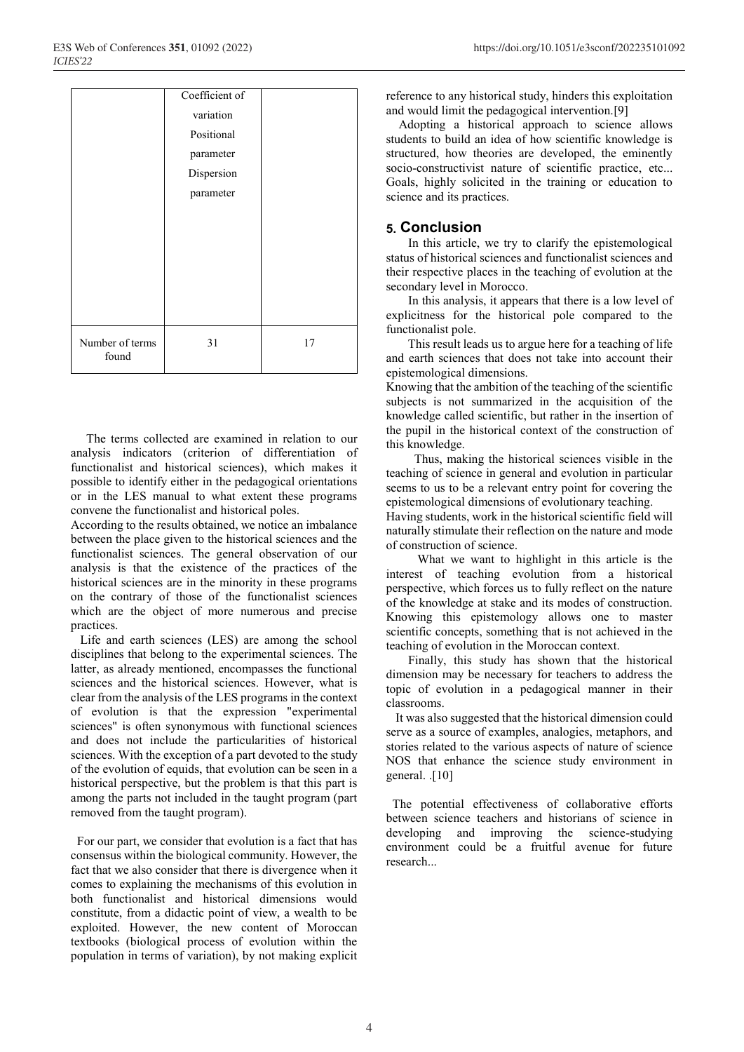|                 | Coefficient of |    |
|-----------------|----------------|----|
|                 | variation      |    |
|                 | Positional     |    |
|                 | parameter      |    |
|                 | Dispersion     |    |
|                 | parameter      |    |
|                 |                |    |
|                 |                |    |
|                 |                |    |
|                 |                |    |
|                 |                |    |
|                 |                |    |
| Number of terms | 31             | 17 |
| found           |                |    |

 The terms collected are examined in relation to our analysis indicators (criterion of differentiation of functionalist and historical sciences), which makes it possible to identify either in the pedagogical orientations or in the LES manual to what extent these programs convene the functionalist and historical poles.

According to the results obtained, we notice an imbalance between the place given to the historical sciences and the functionalist sciences. The general observation of our analysis is that the existence of the practices of the historical sciences are in the minority in these programs on the contrary of those of the functionalist sciences which are the object of more numerous and precise practices.

 Life and earth sciences (LES) are among the school disciplines that belong to the experimental sciences. The latter, as already mentioned, encompasses the functional sciences and the historical sciences. However, what is clear from the analysis of the LES programs in the context of evolution is that the expression "experimental sciences" is often synonymous with functional sciences and does not include the particularities of historical sciences. With the exception of a part devoted to the study of the evolution of equids, that evolution can be seen in a historical perspective, but the problem is that this part is among the parts not included in the taught program (part removed from the taught program).

 For our part, we consider that evolution is a fact that has consensus within the biological community. However, the fact that we also consider that there is divergence when it comes to explaining the mechanisms of this evolution in both functionalist and historical dimensions would constitute, from a didactic point of view, a wealth to be exploited. However, the new content of Moroccan textbooks (biological process of evolution within the population in terms of variation), by not making explicit

reference to any historical study, hinders this exploitation and would limit the pedagogical intervention.[9]

 Adopting a historical approach to science allows students to build an idea of how scientific knowledge is structured, how theories are developed, the eminently socio-constructivist nature of scientific practice, etc... Goals, highly solicited in the training or education to science and its practices.

#### **5. Conclusion**

 In this article, we try to clarify the epistemological status of historical sciences and functionalist sciences and their respective places in the teaching of evolution at the secondary level in Morocco.

 In this analysis, it appears that there is a low level of explicitness for the historical pole compared to the functionalist pole.

 This result leads us to argue here for a teaching of life and earth sciences that does not take into account their epistemological dimensions.

Knowing that the ambition of the teaching of the scientific subjects is not summarized in the acquisition of the knowledge called scientific, but rather in the insertion of the pupil in the historical context of the construction of this knowledge.

 Thus, making the historical sciences visible in the teaching of science in general and evolution in particular seems to us to be a relevant entry point for covering the epistemological dimensions of evolutionary teaching.

Having students, work in the historical scientific field will naturally stimulate their reflection on the nature and mode of construction of science.

 What we want to highlight in this article is the interest of teaching evolution from a historical perspective, which forces us to fully reflect on the nature of the knowledge at stake and its modes of construction. Knowing this epistemology allows one to master scientific concepts, something that is not achieved in the teaching of evolution in the Moroccan context.

 Finally, this study has shown that the historical dimension may be necessary for teachers to address the topic of evolution in a pedagogical manner in their classrooms.

 It was also suggested that the historical dimension could serve as a source of examples, analogies, metaphors, and stories related to the various aspects of nature of science NOS that enhance the science study environment in general. .[10]

 The potential effectiveness of collaborative efforts between science teachers and historians of science in developing and improving the science-studying environment could be a fruitful avenue for future research...